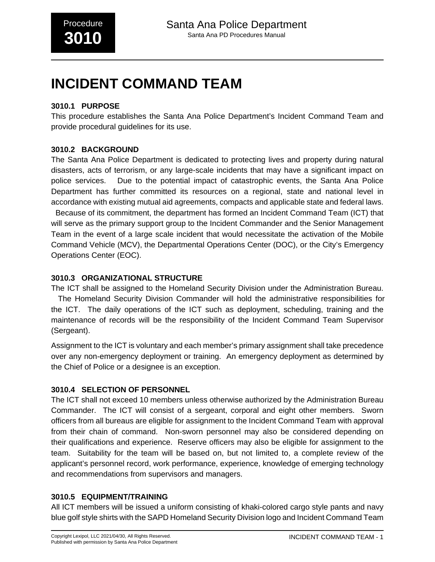# **INCIDENT COMMAND TEAM**

# **3010.1 PURPOSE**

This procedure establishes the Santa Ana Police Department's Incident Command Team and provide procedural guidelines for its use.

# **3010.2 BACKGROUND**

The Santa Ana Police Department is dedicated to protecting lives and property during natural disasters, acts of terrorism, or any large-scale incidents that may have a significant impact on police services. Due to the potential impact of catastrophic events, the Santa Ana Police Department has further committed its resources on a regional, state and national level in accordance with existing mutual aid agreements, compacts and applicable state and federal laws. Because of its commitment, the department has formed an Incident Command Team (ICT) that

will serve as the primary support group to the Incident Commander and the Senior Management Team in the event of a large scale incident that would necessitate the activation of the Mobile Command Vehicle (MCV), the Departmental Operations Center (DOC), or the City's Emergency Operations Center (EOC).

# **3010.3 ORGANIZATIONAL STRUCTURE**

The ICT shall be assigned to the Homeland Security Division under the Administration Bureau.

 The Homeland Security Division Commander will hold the administrative responsibilities for the ICT. The daily operations of the ICT such as deployment, scheduling, training and the maintenance of records will be the responsibility of the Incident Command Team Supervisor (Sergeant).

Assignment to the ICT is voluntary and each member's primary assignment shall take precedence over any non-emergency deployment or training. An emergency deployment as determined by the Chief of Police or a designee is an exception.

### **3010.4 SELECTION OF PERSONNEL**

The ICT shall not exceed 10 members unless otherwise authorized by the Administration Bureau Commander. The ICT will consist of a sergeant, corporal and eight other members. Sworn officers from all bureaus are eligible for assignment to the Incident Command Team with approval from their chain of command. Non-sworn personnel may also be considered depending on their qualifications and experience. Reserve officers may also be eligible for assignment to the team. Suitability for the team will be based on, but not limited to, a complete review of the applicant's personnel record, work performance, experience, knowledge of emerging technology and recommendations from supervisors and managers.

### **3010.5 EQUIPMENT/TRAINING**

All ICT members will be issued a uniform consisting of khaki-colored cargo style pants and navy blue golf style shirts with the SAPD Homeland Security Division logo and Incident Command Team